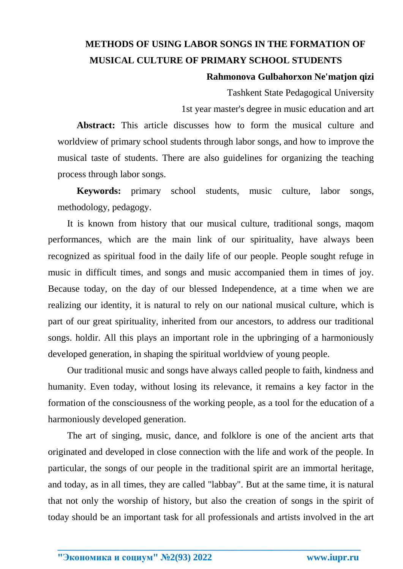## **METHODS OF USING LABOR SONGS IN THE FORMATION OF MUSICAL CULTURE OF PRIMARY SCHOOL STUDENTS**

## **Rahmonova Gulbahorxon Ne'matjon qizi**

Tashkent State Pedagogical University 1st year master's degree in music education and art

**Abstract:** This article discusses how to form the musical culture and worldview of primary school students through labor songs, and how to improve the musical taste of students. There are also guidelines for organizing the teaching process through labor songs.

**Keywords:** primary school students, music culture, labor songs, methodology, pedagogy.

It is known from history that our musical culture, traditional songs, maqom performances, which are the main link of our spirituality, have always been recognized as spiritual food in the daily life of our people. People sought refuge in music in difficult times, and songs and music accompanied them in times of joy. Because today, on the day of our blessed Independence, at a time when we are realizing our identity, it is natural to rely on our national musical culture, which is part of our great spirituality, inherited from our ancestors, to address our traditional songs. holdir. All this plays an important role in the upbringing of a harmoniously developed generation, in shaping the spiritual worldview of young people.

Our traditional music and songs have always called people to faith, kindness and humanity. Even today, without losing its relevance, it remains a key factor in the formation of the consciousness of the working people, as a tool for the education of a harmoniously developed generation.

The art of singing, music, dance, and folklore is one of the ancient arts that originated and developed in close connection with the life and work of the people. In particular, the songs of our people in the traditional spirit are an immortal heritage, and today, as in all times, they are called "labbay". But at the same time, it is natural that not only the worship of history, but also the creation of songs in the spirit of today should be an important task for all professionals and artists involved in the art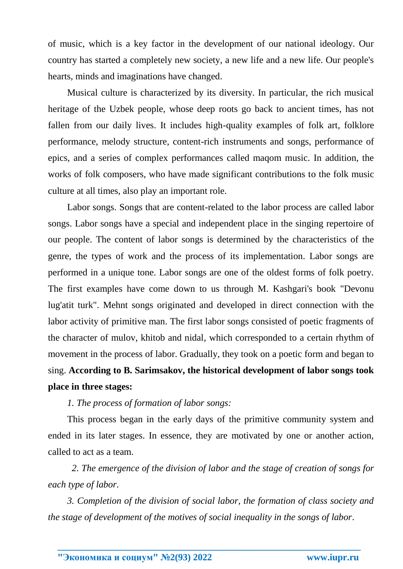of music, which is a key factor in the development of our national ideology. Our country has started a completely new society, a new life and a new life. Our people's hearts, minds and imaginations have changed.

Musical culture is characterized by its diversity. In particular, the rich musical heritage of the Uzbek people, whose deep roots go back to ancient times, has not fallen from our daily lives. It includes high-quality examples of folk art, folklore performance, melody structure, content-rich instruments and songs, performance of epics, and a series of complex performances called maqom music. In addition, the works of folk composers, who have made significant contributions to the folk music culture at all times, also play an important role.

Labor songs. Songs that are content-related to the labor process are called labor songs. Labor songs have a special and independent place in the singing repertoire of our people. The content of labor songs is determined by the characteristics of the genre, the types of work and the process of its implementation. Labor songs are performed in a unique tone. Labor songs are one of the oldest forms of folk poetry. The first examples have come down to us through M. Kashgari's book "Devonu lug'atit turk". Mehnt songs originated and developed in direct connection with the labor activity of primitive man. The first labor songs consisted of poetic fragments of the character of mulov, khitob and nidal, which corresponded to a certain rhythm of movement in the process of labor. Gradually, they took on a poetic form and began to sing. **According to B. Sarimsakov, the historical development of labor songs took place in three stages:**

*1. The process of formation of labor songs:*

This process began in the early days of the primitive community system and ended in its later stages. In essence, they are motivated by one or another action, called to act as a team.

 *2. The emergence of the division of labor and the stage of creation of songs for each type of labor.*

*3. Completion of the division of social labor, the formation of class society and the stage of development of the motives of social inequality in the songs of labor.*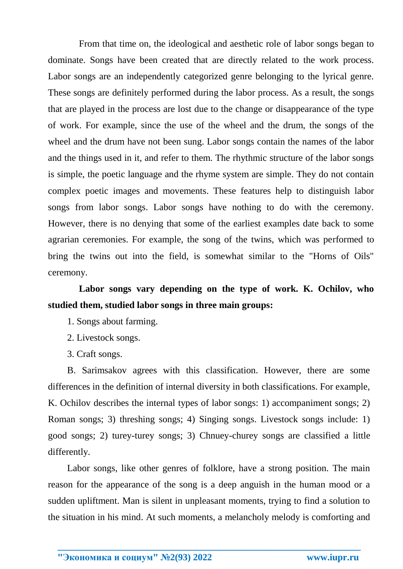From that time on, the ideological and aesthetic role of labor songs began to dominate. Songs have been created that are directly related to the work process. Labor songs are an independently categorized genre belonging to the lyrical genre. These songs are definitely performed during the labor process. As a result, the songs that are played in the process are lost due to the change or disappearance of the type of work. For example, since the use of the wheel and the drum, the songs of the wheel and the drum have not been sung. Labor songs contain the names of the labor and the things used in it, and refer to them. The rhythmic structure of the labor songs is simple, the poetic language and the rhyme system are simple. They do not contain complex poetic images and movements. These features help to distinguish labor songs from labor songs. Labor songs have nothing to do with the ceremony. However, there is no denying that some of the earliest examples date back to some agrarian ceremonies. For example, the song of the twins, which was performed to bring the twins out into the field, is somewhat similar to the "Horns of Oils" ceremony.

## **Labor songs vary depending on the type of work. K. Ochilov, who studied them, studied labor songs in three main groups:**

- 1. Songs about farming.
- 2. Livestock songs.
- 3. Craft songs.

B. Sarimsakov agrees with this classification. However, there are some differences in the definition of internal diversity in both classifications. For example, K. Ochilov describes the internal types of labor songs: 1) accompaniment songs; 2) Roman songs; 3) threshing songs; 4) Singing songs. Livestock songs include: 1) good songs; 2) turey-turey songs; 3) Chnuey-churey songs are classified a little differently.

Labor songs, like other genres of folklore, have a strong position. The main reason for the appearance of the song is a deep anguish in the human mood or a sudden upliftment. Man is silent in unpleasant moments, trying to find a solution to the situation in his mind. At such moments, a melancholy melody is comforting and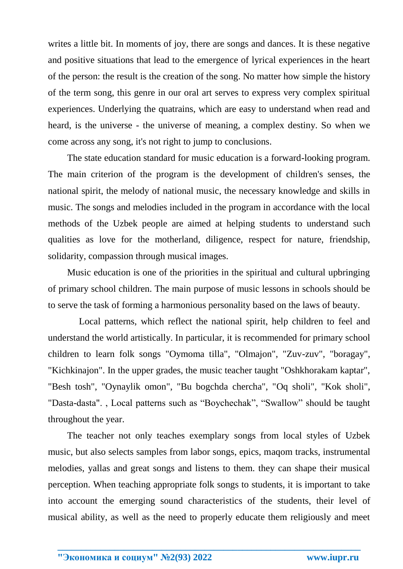writes a little bit. In moments of joy, there are songs and dances. It is these negative and positive situations that lead to the emergence of lyrical experiences in the heart of the person: the result is the creation of the song. No matter how simple the history of the term song, this genre in our oral art serves to express very complex spiritual experiences. Underlying the quatrains, which are easy to understand when read and heard, is the universe - the universe of meaning, a complex destiny. So when we come across any song, it's not right to jump to conclusions.

The state education standard for music education is a forward-looking program. The main criterion of the program is the development of children's senses, the national spirit, the melody of national music, the necessary knowledge and skills in music. The songs and melodies included in the program in accordance with the local methods of the Uzbek people are aimed at helping students to understand such qualities as love for the motherland, diligence, respect for nature, friendship, solidarity, compassion through musical images.

Music education is one of the priorities in the spiritual and cultural upbringing of primary school children. The main purpose of music lessons in schools should be to serve the task of forming a harmonious personality based on the laws of beauty.

 Local patterns, which reflect the national spirit, help children to feel and understand the world artistically. In particular, it is recommended for primary school children to learn folk songs "Oymoma tilla", "Olmajon", "Zuv-zuv", "boragay", "Kichkinajon". In the upper grades, the music teacher taught "Oshkhorakam kaptar", "Besh tosh", "Oynaylik omon", "Bu bogchda chercha", "Oq sholi", "Kok sholi", "Dasta-dasta". , Local patterns such as "Boychechak", "Swallow" should be taught throughout the year.

The teacher not only teaches exemplary songs from local styles of Uzbek music, but also selects samples from labor songs, epics, maqom tracks, instrumental melodies, yallas and great songs and listens to them. they can shape their musical perception. When teaching appropriate folk songs to students, it is important to take into account the emerging sound characteristics of the students, their level of musical ability, as well as the need to properly educate them religiously and meet